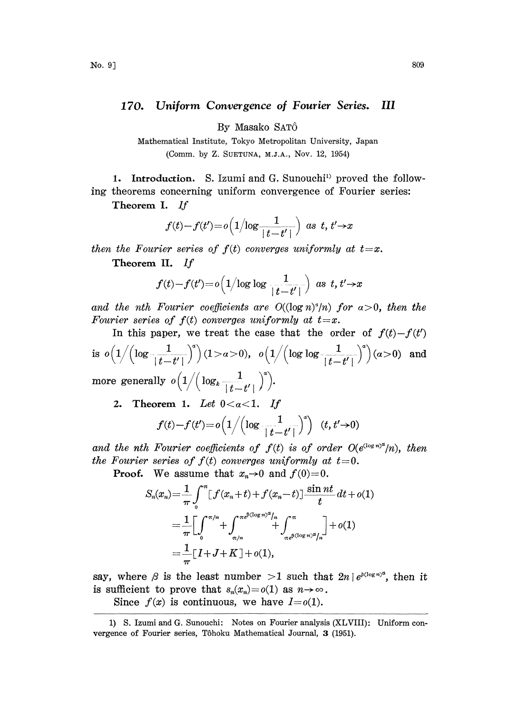## 170. Uniform Convergence of Fourier Series. III

By Masako SAT6

Mathematical Institute, Tokyo Metropolitan University, Japan (Comm. by Z. SUETUNA, M.J.A., Nov. 12, 1954)

1. Introduction. S. Izumi and G. Sunouchi<sup>1</sup> proved the following theorems concerning uniform convergence of Fourier series:

Theorem I. If

$$
f(t)-f(t')=o\Big(1/\log\frac{1}{|t-t'|}\Big)\ \ as\ \ t,\ t'\to x
$$

then the Fourier series of  $f(t)$  converges uniformly at  $t=x$ .

Theorem II. If

$$
f(t)-f(t')=o\left(1/\log\log\frac{1}{|t-t'|}\right)\text{ as }t,t'\to x
$$

and the nth Fourier coefficients are  $O((\log n)^2/n)$  for  $\alpha > 0$ , then the Fourier series of  $f(t)$  converges uniformly at  $t=x$ .

In this paper, we treat the case that the order of  $f(t)-f(t')$ is  $o\left(1/\left(\log\frac{1}{\lvert t-t'\rvert}\right)^{2}\right)(1>\alpha>0)$ ,  $o\left(1/\left(\log\log\frac{1}{\lvert t-t'\rvert}\right)^{2}\right)(\alpha>0)$  and

more generally  $o(1/(\log_k\frac{1}{|t-t'|})^{\alpha}).$ 

2. Theorem 1. Let  $0 < \alpha < 1$ . If

$$
f(t)-f(t')=o\left(1/\left(\log\frac{1}{|t-t'|}\right)^{s}\right)(t,t'\rightarrow 0)
$$

and the nth Fourier coefficients of  $f(t)$  is of order  $O(e^{(\log n)^{\alpha}}/n)$ , then the Fourier series of  $f(t)$  converges uniformly at  $t=0$ .

**Proof.** We assume that  $x_n \rightarrow 0$  and  $f(0)=0$ .

$$
S_n(x_n) = \frac{1}{\pi} \int_0^{\pi} [f(x_n + t) + f(x_n - t)] \frac{\sin nt}{t} dt + o(1)
$$
  
= 
$$
\frac{1}{\pi} \Big[ \int_0^{\pi/n} + \int_{\pi/n}^{\pi e^{\beta(\log n)^{\alpha}}/n} + \int_{\pi e^{\beta(\log n)^{\alpha}}/n}^{\pi} \Big] + o(1)
$$
  
= 
$$
\frac{1}{\pi} [I + J + K] + o(1),
$$

say, where  $\beta$  is the least number  $>1$  such that  $2n |e^{\beta(\log n)^{\alpha}}$ , then it is sufficient to prove that  $s_n(x_n) = o(1)$  as  $n \to \infty$ .

Since  $f(x)$  is continuous, we have  $I = o(1)$ .

<sup>1)</sup> S. Izumi and G. Sunouchi: Notes on Fourier analysis (XLVIII): Uniform convergence of Fourier series, Tôhoku Mathematical Journal, 3 (1951).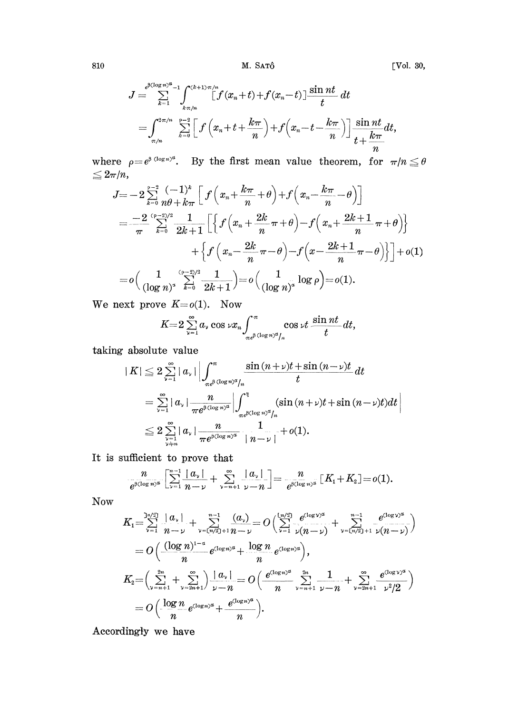810 M. SATÔ [Vol. 30,

$$
\begin{array}{l} \displaystyle J=\sum_{k=1}^{e^{\beta(\log n)^{\alpha}-1}}\int_{k\pi/n}^{(k+1)\pi/n}[f(x_{n}+t)+f(x_{n}-t)]\frac{\sin nt}{t}\,dt\\ \displaystyle \qquad =\int_{\pi/n}^{2\pi/n}\sum_{k=0}^{p-2}\Big[\,f\left(x_{n}+t+\frac{k\pi}{n}\right)+f\Big(x_{n}-t-\frac{k\pi}{n}\Big)\Big]\,\frac{\sin nt}{t+\frac{k\pi}{n}}dt, \end{array}
$$

where  $\rho=e^{\beta(\log n)^{\alpha}}$ . By the first mean value theorem, for  $\pi/n \leq \theta$  $\leq 2\pi/n,$ 

$$
J = -2 \sum_{k=0}^{p-3} \frac{(-1)^k}{n\theta + k\pi} \left[ f\left(x_n + \frac{k\pi}{n} + \theta\right) + f\left(x_n - \frac{k\pi}{n} - \theta\right) \right]
$$
  
\n
$$
= \frac{-2}{\pi} \sum_{k=0}^{(p-2)/2} \frac{1}{2k+1} \left[ \left\{ f\left(x_n + \frac{2k}{n}\pi + \theta\right) - f\left(x_n + \frac{2k+1}{n}\pi + \theta\right) \right\} + \left\{ f\left(x_n - \frac{2k}{n}\pi - \theta\right) - f\left(x - \frac{2k+1}{n}\pi - \theta\right) \right\} \right] + o(1)
$$
  
\n
$$
= o\left( \frac{1}{(\log n)^2} \sum_{k=0}^{(p-2)/2} \frac{1}{2k+1} \right) = o\left( \frac{1}{(\log n)^2} \log \rho \right) = o(1).
$$

We next prove  $K = o(1)$ . Now

$$
K=2\sum_{\nu=1}^{\infty}a_{\nu}\cos\nu x_{n}\int_{\pi e^{\beta}}^{\pi}\cos\nu t\frac{\sin nt}{t}dt,
$$

taking absolute value

$$
|K| \leq 2 \sum_{\nu=1}^{\infty} |a_{\nu}| \left| \int_{\pi e^{\beta (\log n)^{\alpha}/n}}^{\pi} \frac{\sin (n+\nu)t + \sin (n-\nu)t}{t} dt \right|
$$
  
=  $\sum_{\nu=1}^{\infty} |a_{\nu}| \frac{n}{\pi e^{\beta (\log n)^{\alpha}}} \left| \int_{\pi e^{\beta (\log n)^{\alpha}/n}}^{\pi} (\sin (n+\nu)t + \sin (n-\nu)t) dt \right|$   
 $\leq 2 \sum_{\nu=1}^{\infty} |a_{\nu}| \frac{n}{\pi e^{\beta (\log n)^{\alpha}}} \frac{1}{|n-\nu|} + o(1).$ 

It is sufficient to prove that

$$
\frac{n}{e^{\beta(\log n)^{\alpha}}}\left[\sum_{\nu=1}^{n-1}\frac{|\alpha_{\nu}|}{n-\nu}+\sum_{\nu=n+1}^{\infty}\frac{|\alpha_{\nu}|}{\nu-n}\right]=\frac{n}{e^{\beta(\log n)^{\alpha}}}\left[K_{1}+K_{2}\right]=o(1).
$$

**Now** 

$$
K_{1} = \sum_{\nu=1}^{n/2} \frac{|a_{\nu}|}{n-\nu} + \sum_{\nu=(n/2)+1}^{n-1} \frac{(a_{\nu})}{n-\nu} = O\left(\sum_{\nu=1}^{(n/2)} \frac{e^{(\log \nu)^{\alpha}}}{\nu(n-\nu)} + \sum_{\nu=(n/2)+1}^{n-1} \frac{e^{(\log \nu)^{\alpha}}}{\nu(n-\nu)}\right)
$$
  
=  $O\left(\frac{(\log n)^{1-\alpha}}{n} e^{(\log n)^{\alpha}} + \frac{\log n}{n} e^{(\log n)^{\alpha}}\right),$   

$$
K_{2} = \left(\sum_{\nu=n+1}^{2n} + \sum_{\nu=2n+1}^{\infty} \right) \frac{|a_{\nu}|}{\nu-n} = O\left(\frac{e^{(\log n)^{\alpha}}}{n} \sum_{\nu=n+1}^{2n} \frac{1}{\nu-n} + \sum_{\nu=2n+1}^{\infty} \frac{e^{(\log \nu)^{\alpha}}}{\nu^{2}/2}\right)
$$
  
=  $O\left(\frac{\log n}{n} e^{(\log n)^{\alpha}} + \frac{e^{(\log n)^{\alpha}}}{n}\right).$ 

Accordingly we have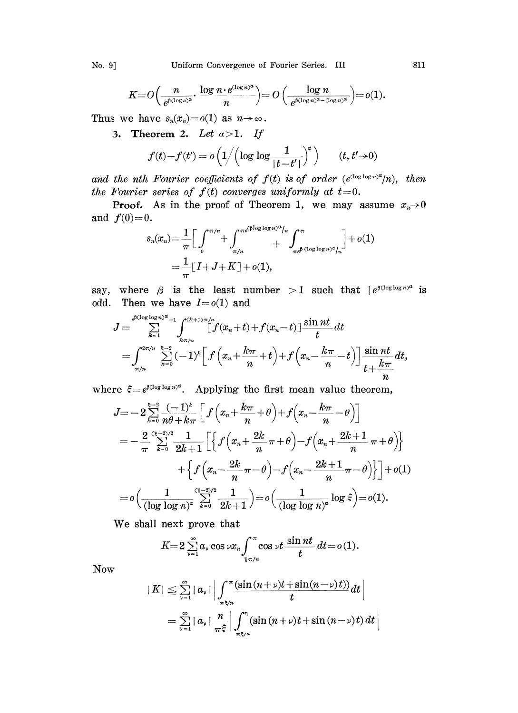No. 9] Uniform Convergence of Fourier Series. III 811

$$
K=O\Big(\frac{n}{e^{\beta(\log n)^{\alpha}}}\cdot \frac{\log n\cdot e^{(\log n)^{\alpha}}}{n}\Big)=O\Big(\frac{\log n}{e^{\beta(\log n)^{\alpha}-(\log n)^{\alpha}}}\Big)=o(1).
$$

Thus we have  $s_n(x_n)=o(1)$  as  $n\to\infty$ .

3. Theorem 2. Let  $a > 1$ . If

$$
f(t)-f(t') = o\left(1/\left(\log\log\frac{1}{|t-t'|}\right)^{\alpha}\right) \qquad (t, t' \to 0)
$$

and the nth Fourier coefficients of  $f(t)$  is of order  $(e^{(\log \log n)^{\alpha}}/n)$ , then the Fourier series of  $f(t)$  converges uniformly at  $t=0$ .

**Proof.** As in the proof of Theorem 1, we may assume  $x_n \to 0$ and  $f(0)=0$ . ہ<br>ما میں  $\sim$ 

$$
s_n(x_n) = \frac{1}{\pi} \Big[ \int_0^{\pi/n} + \int_{\pi/n}^{\pi e^{\beta \log \log n/2} / n} + \int_{\pi e^{\beta} (\log \log n)^{\alpha} / n}^{\pi} \Big] + o(1)
$$
  
= 
$$
\frac{1}{\pi} [I + J + K] + o(1),
$$

say, where  $\beta$  is the least number > 1 such that  $\int e^{\beta(\log \log n)^{\alpha}}$  is odd. Then we have  $I = o(1)$  and

$$
J = \sum_{k=1}^{\epsilon^{\beta(\log\log n)^{\alpha}}-1} \int_{k\pi/n}^{\sqrt{k+1}\pi/n} [f(x_n+t)+f(x_n-t)] \frac{\sin nt}{t} dt
$$
  
= 
$$
\int_{\pi/n}^{2\pi/n} \sum_{k=0}^{k-2} (-1)^k [f(x_n+\frac{k\pi}{n}+t)+f(x_n-\frac{k\pi}{n}-t)] \frac{\sin nt}{t+\frac{k\pi}{n}} dt,
$$

where  $\xi = e^{\beta(\log \log n)^{\alpha}}$ . Applying the first mean value theorem,

$$
J = -2 \sum_{k=0}^{k-3} \frac{(-1)^k}{n\theta + k\pi} \left[ f\left(x_n + \frac{k\pi}{n} + \theta\right) + f\left(x_n - \frac{k\pi}{n} - \theta\right) \right]
$$
  
=  $-\frac{2}{\pi} \sum_{k=0}^{(k-3)/2} \frac{1}{2k+1} \left[ \left\{ f\left(x_n + \frac{2k}{n}\pi + \theta\right) - f\left(x_n + \frac{2k+1}{n}\pi + \theta\right) \right\} + \left\{ f\left(x_n - \frac{2k}{n}\pi - \theta\right) - f\left(x_n - \frac{2k+1}{n}\pi - \theta\right) \right\} \right] + o(1)$   
=  $o\left(\frac{1}{(\log \log n)^a} \sum_{k=0}^{(k-3)/2} \frac{1}{2k+1}\right) = o\left(\frac{1}{(\log \log n)^a} \log \xi\right) = o(1).$ 

We shall next prove that

$$
K=2\sum_{\nu=1}^\infty a_\nu\cos\nu x_n\int_{\frac{\epsilon}{\tau}\pi/n}^\pi\cos\nu t\,\frac{\sin nt}{t}\,dt=o\,(1).
$$
  

$$
1<\sum_{n=1}^\infty |a_n|\left|\,\int_{-\pi}^\pi(\sin\,(n+\nu)t+\sin(n-\nu)\,t)\right)dt.
$$

Now

$$
|K| \leq \sum_{\nu=1}^{\infty} |a_{\nu}| \left| \int_{\pi \xi/n}^{\pi} \frac{(\sin (n+\nu)t + \sin (n-\nu)t)}{t} dt \right|
$$
  
= 
$$
\sum_{\nu=1}^{\infty} |a_{\nu}| \frac{n}{\pi \xi} \left| \int_{\pi \xi/n}^{\pi} (\sin (n+\nu)t + \sin (n-\nu)t) dt \right|
$$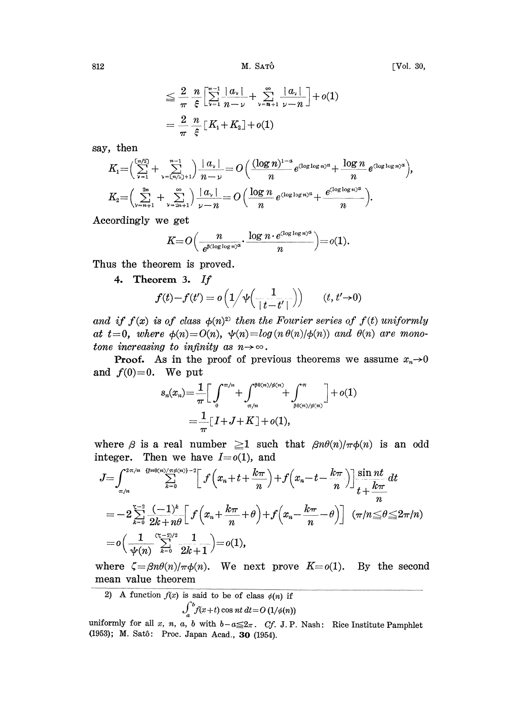$812$  M. Satrô  $M$ . Satrô  $[Vol. 30,$ 

$$
\leq \frac{2}{\pi} \frac{n}{\xi} \left[ \sum_{\nu=1}^{n-1} \frac{|a_{\nu}|}{n-\nu} + \sum_{\nu=n+1}^{n} \frac{|a_{\nu}|}{\nu-n} \right] + o(1)
$$

$$
= \frac{2}{\pi} \frac{n}{\xi} \left[ K_1 + K_2 \right] + o(1)
$$

say, then

$$
K_1 = \left(\sum_{\nu=1}^{[n/2]} + \sum_{\nu=(n/2)+1}^{n-1}\right) \frac{|a_\nu|}{n-\nu} = O\left(\frac{(\log n)^{1-a}}{n} e^{(\log \log n)^a} + \frac{\log n}{n} e^{(\log \log n)^a}\right),
$$
  

$$
K_2 = \left(\sum_{\nu=n+1}^{2n} + \sum_{\nu=2n+1}^{\infty}\right) \frac{|a_\nu|}{\nu - n} = O\left(\frac{\log n}{n} e^{(\log \log n)^a} + \frac{e^{(\log \log n)^a}}{n}\right).
$$

Accordingly we get

$$
K{=}O\Big(\frac{n}{e^{\beta(\log\log n)^{\alpha}}}\cdot \frac{\log n\cdot e^{(\log\log n)^{\alpha}}}{n}\Big){=}o(1).
$$

Thus the theorem is proved.

4. Theorem 3.

$$
f(t)-f(t') = o\left(1/\psi\left(\frac{1}{\mid t-t'\mid}\right)\right) \qquad (t, t'\to 0)
$$

and if  $f(x)$  is of class  $\phi(n)^2$  then the Fourier series of  $f(t)$  uniformly at  $t=0$ , where  $\phi(n)=O(n)$ ,  $\psi(n)=log(n \theta(n)/\phi(n))$  and  $\theta(n)$  are monotone increasing to infinity as  $n \rightarrow \infty$ .

**Proof.** As in the proof of previous theorems we assume  $x_n \rightarrow 0$ and  $f(0)=0$ . We put

$$
s_n(x_n) = \frac{1}{\pi} \Big[ \int_0^{\pi/n} + \int_{\pi/n}^{\beta \theta(n)/\phi(n)} + \int_{\beta \theta(n)/\phi(n)}^{\pi} \Big] + o(1)
$$
  
= 
$$
\frac{1}{\pi} [I + J + K] + o(1),
$$

where  $\beta$  is a real number  $\geq 1$  such that  $\beta n\theta(n)/\pi\phi(n)$  is an odd integer. Then we have  $I=0(1)$ , and

$$
J = \int_{\pi/n}^{2\pi/n} \sum_{\substack{\{p \neq 0 \ n \geq 0\}}}{\sum_{k=0}^{2\pi/n} \left[ f\left(x_n + t + \frac{k\pi}{n}\right) + f\left(x_n - t - \frac{k\pi}{n}\right) \right] \frac{\sin nt}{t + \frac{k\pi}{n}} dt}
$$
  
= 
$$
-2 \sum_{k=0}^{\infty} \frac{(-1)^k}{2k+n\theta} \left[ f\left(x_n + \frac{k\pi}{n} + \theta\right) + f\left(x_n - \frac{k\pi}{n} - \theta\right) \right] (\pi/n) \leq \theta \leq 2\pi/n
$$
  
= 
$$
o\left(\frac{1}{\psi(n)} \sum_{k=0}^{(\kappa-2)/2} \frac{1}{2k+1}\right) = o(1),
$$

where  $\zeta = \beta n \theta(n) / \pi \phi(n)$ . We next prove  $K = o(1)$ . By the second mean value theorem

2) A function  $f(x)$  is said to be of class  $\phi(n)$  if

$$
\int_a^b f(x+t) \cos nt \, dt = O\left(\frac{1}{\phi(n)}\right)
$$

uniformly for all x, n, a, b with  $b-a \leq 2\pi$ . Cf. J.P. Nash: Rice Institute Pamphlet (1953); M. Satô: Proc. Japan Acad., 30 (1954).